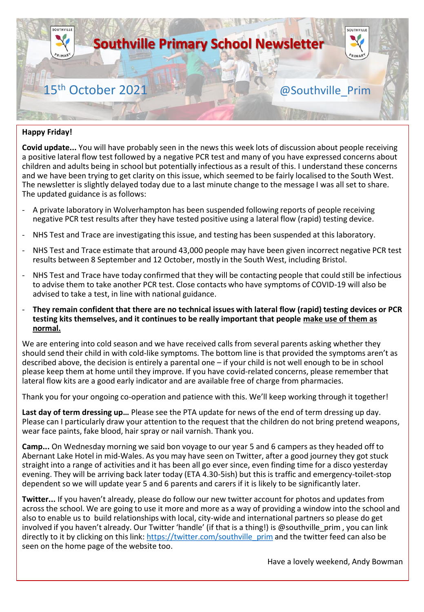

#### **Happy Friday!**

**Covid update...** You will have probably seen in the news this week lots of discussion about people receiving a positive lateral flow test followed by a negative PCR test and many of you have expressed concerns about children and adults being in school but potentially infectious as a result of this. I understand these concerns and we have been trying to get clarity on this issue, which seemed to be fairly localised to the South West. The newsletter is slightly delayed today due to a last minute change to the message I was all set to share. The updated guidance is as follows:

- A private laboratory in Wolverhampton has been suspended following reports of people receiving negative PCR test results after they have tested positive using a lateral flow (rapid) testing device.
- NHS Test and Trace are investigating this issue, and testing has been suspended at this laboratory.
- NHS Test and Trace estimate that around 43,000 people may have been given incorrect negative PCR test results between 8 September and 12 October, mostly in the South West, including Bristol.
- NHS Test and Trace have today confirmed that they will be contacting people that could still be infectious to advise them to take another PCR test. Close contacts who have symptoms of COVID-19 will also be advised to take a test, in line with national guidance.
- **They remain confident that there are no technical issues with lateral flow (rapid) testing devices or PCR testing kits themselves, and it continues to be really important that people make use of them as normal.**

We are entering into cold season and we have received calls from several parents asking whether they should send their child in with cold-like symptoms. The bottom line is that provided the symptoms aren't as described above, the decision is entirely a parental one – if your child is not well enough to be in school please keep them at home until they improve. If you have covid-related concerns, please remember that lateral flow kits are a good early indicator and are available free of charge from pharmacies.

Thank you for your ongoing co-operation and patience with this. We'll keep working through it together!

**Last day of term dressing up…** Please see the PTA update for news of the end of term dressing up day. Please can I particularly draw your attention to the request that the children do not bring pretend weapons, wear face paints, fake blood, hair spray or nail varnish. Thank you.

**Camp...** On Wednesday morning we said bon voyage to our year 5 and 6 campers as they headed off to Abernant Lake Hotel in mid-Wales. As you may have seen on Twitter, after a good journey they got stuck straight into a range of activities and it has been all go ever since, even finding time for a disco yesterday evening. They will be arriving back later today (ETA 4.30-5ish) but this is traffic and emergency-toilet-stop dependent so we will update year 5 and 6 parents and carers if it is likely to be significantly later.

**Twitter...** If you haven't already, please do follow our new twitter account for photos and updates from across the school. We are going to use it more and more as a way of providing a window into the school and also to enable us to build relationships with local, city-wide and international partners so please do get involved if you haven't already. Our Twitter 'handle' (if that is a thing!) is @southville\_prim , you can link directly to it by clicking on this link: [https://twitter.com/southville\\_prim](https://twitter.com/southville_prim) and the twitter feed can also be seen on the home page of the website too.

Have a lovely weekend, Andy Bowman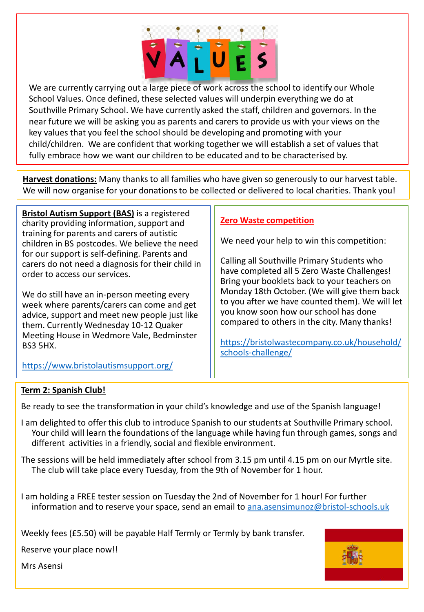

We are currently carrying out a large piece of work across the school to identify our Whole School Values. Once defined, these selected values will underpin everything we do at Southville Primary School. We have currently asked the staff, children and governors. In the near future we will be asking you as parents and carers to provide us with your views on the key values that you feel the school should be developing and promoting with your child/children. We are confident that working together we will establish a set of values that fully embrace how we want our children to be educated and to be characterised by.

**Harvest donations:** Many thanks to all families who have given so generously to our harvest table. We will now organise for your donations to be collected or delivered to local charities. Thank you!

**Bristol Autism Support (BAS)** is a registered charity providing information, support and training for parents and carers of autistic children in BS postcodes. We believe the need for our support is self-defining. Parents and carers do not need a diagnosis for their child in order to access our services.

We do still have an in-person meeting every week where parents/carers can come and get advice, support and meet new people just like them. Currently Wednesday 10-12 Quaker Meeting House in Wedmore Vale, Bedminster BS3 5HX.

#### **Zero Waste competition**

We need your help to win this competition:

Calling all Southville Primary Students who have completed all 5 Zero Waste Challenges! Bring your booklets back to your teachers on Monday 18th October. (We will give them back to you after we have counted them). We will let you know soon how our school has done compared to others in the city. Many thanks!

[https://bristolwastecompany.co.uk/household/](https://bristolwastecompany.co.uk/household/schools-challenge/) schools-challenge/

<https://www.bristolautismsupport.org/>

#### **Term 2: Spanish Club!**

Be ready to see the transformation in your child's knowledge and use of the Spanish language!

- I am delighted to offer this club to introduce Spanish to our students at Southville Primary school. Your child will learn the foundations of the language while having fun through games, songs and different activities in a friendly, social and flexible environment.
- The sessions will be held immediately after school from 3.15 pm until 4.15 pm on our Myrtle site. The club will take place every Tuesday, from the 9th of November for 1 hour.
- I am holding a FREE tester session on Tuesday the 2nd of November for 1 hour! For further information and to reserve your space, send an email to [ana.asensimunoz@bristol-schools.uk](mailto:ana.asensimunoz@bristol-schools.uk)

Weekly fees (£5.50) will be payable Half Termly or Termly by bank transfer.

Reserve your place now!!



Mrs Asensi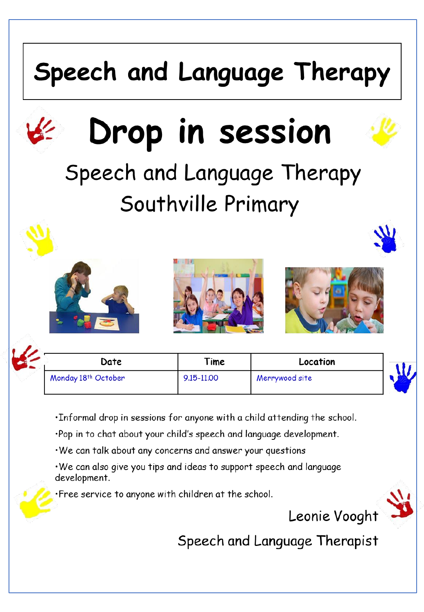## Speech and Language Therapy



## Drop in session

## Speech and Language Therapy Southville Primary







| Date                | Time       | Location       |  |
|---------------------|------------|----------------|--|
| Monday 18th October | 9.15-11.00 | Merrywood site |  |

- . Informal drop in sessions for anyone with a child attending the school.
- ·Pop in to chat about your child's speech and language development.
- We can talk about any concerns and answer your questions
- . We can also give you tips and ideas to support speech and language development.
- Free service to anyone with children at the school.



Speech and Language Therapist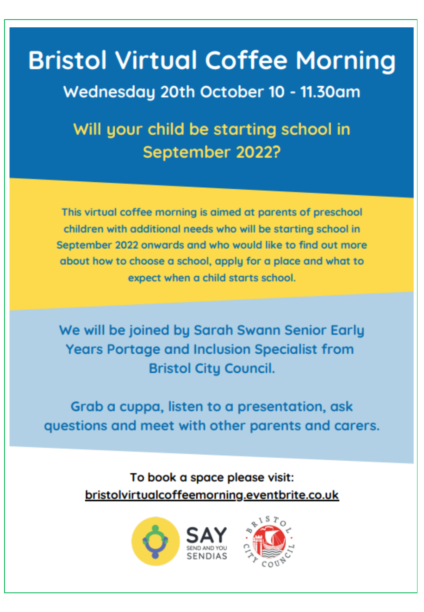## **Bristol Virtual Coffee Morning**

Wednesday 20th October 10 - 11.30am

Will your child be starting school in September 2022?

This virtual coffee morning is aimed at parents of preschool children with additional needs who will be starting school in September 2022 onwards and who would like to find out more about how to choose a school, apply for a place and what to expect when a child starts school.

We will be joined by Sarah Swann Senior Early **Years Portage and Inclusion Specialist from Bristol City Council.** 

Grab a cuppa, listen to a presentation, ask questions and meet with other parents and carers.

> To book a space please visit: bristolvirtualcoffeemorning.eventbrite.co.uk



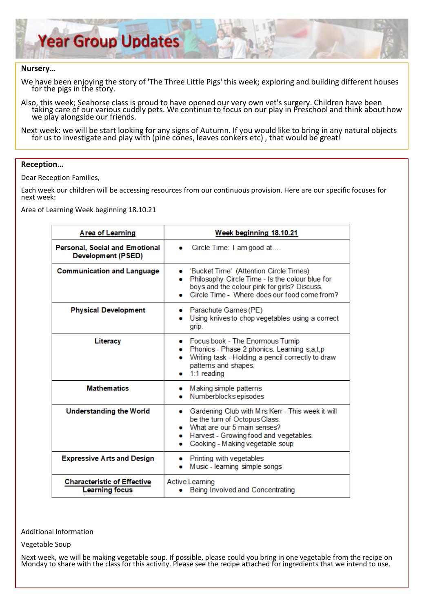

#### **Nursery…**

We have been enjoying the story of 'The Three Little Pigs' this week; exploring and building different houses for the pigs in the story.

Also, this week; Seahorse class is proud to have opened our very own vet's surgery. Children have been taking care of our various cuddly pets. We continue to focus on our play in Preschool and think about how we play alongside our friends.

Next week: we will be start looking for any signs of Autumn. If you would like to bring in any natural objects for us to investigate and play with (pine cones, leaves conkers etc) , that would be great!

#### **Reception…**

Dear Reception Families,

Each week our children will be accessing resources from our continuous provision. Here are our specific focuses for next week:

Area of Learning Week beginning 18.10.21

| <b>Area of Learning</b>                                     | Week beginning 18.10.21                                                                                                                                                                            |  |
|-------------------------------------------------------------|----------------------------------------------------------------------------------------------------------------------------------------------------------------------------------------------------|--|
| <b>Personal, Social and Emotional</b><br>Development (PSED) | Circle Time: I am good at                                                                                                                                                                          |  |
| <b>Communication and Language</b>                           | 'Bucket Time' (Attention Circle Times)<br>۰<br>Philosophy Circle Time - Is the colour blue for<br>boys and the colour pink for girls? Discuss.<br>Circle Time - Where does our food come from?     |  |
| <b>Physical Development</b>                                 | • Parachute Games (PE)<br>Using knives to chop vegetables using a correct<br>grip.                                                                                                                 |  |
| Literacy                                                    | Focus book - The Enormous Turnip<br>Phonics - Phase 2 phonics. Learning s,a,t,p<br>Writing task - Holding a pencil correctly to draw<br>patterns and shapes.<br>$1:1$ reading                      |  |
| <b>Mathematics</b>                                          | Making simple patterns<br>Numberblocks episodes                                                                                                                                                    |  |
| Understanding the World                                     | Gardening Club with Mrs Kerr - This week it will<br>be the turn of Octopus Class.<br>What are our 5 main senses?<br>Harvest - Growing food and vegetables.<br>۰<br>Cooking - Making vegetable soup |  |
| <b>Expressive Arts and Design</b>                           | Printing with vegetables<br>Music - learning simple songs                                                                                                                                          |  |
| <b>Characteristic of Effective</b><br><b>Learning focus</b> | <b>Active Learning</b><br>Being Involved and Concentrating                                                                                                                                         |  |

Additional Information

Vegetable Soup

Next week, we will be making vegetable soup. If possible, please could you bring in one vegetable from the recipe on Monday to share with the class for this activity. Please see the recipe attached for ingredients that we intend to use.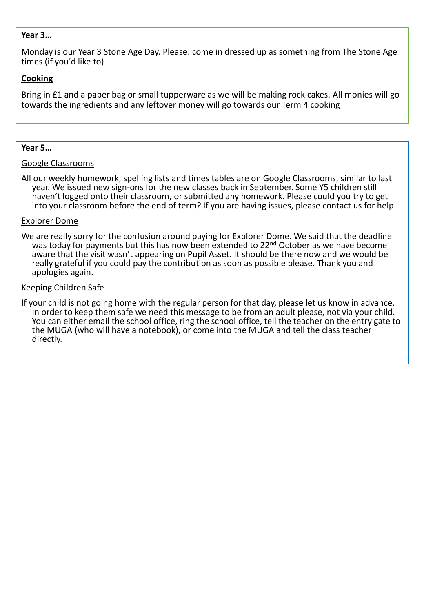#### **Year 3…**

Monday is our Year 3 Stone Age Day. Please: come in dressed up as something from The Stone Age times (if you'd like to)

#### **Cooking**

Bring in £1 and a paper bag or small tupperware as we will be making rock cakes. All monies will go towards the ingredients and any leftover money will go towards our Term 4 cooking

#### **Year 5…**

#### Google Classrooms

All our weekly homework, spelling lists and times tables are on Google Classrooms, similar to last year. We issued new sign-ons for the new classes back in September. Some Y5 children still haven't logged onto their classroom, or submitted any homework. Please could you try to get into your classroom before the end of term? If you are having issues, please contact us for help.

#### Explorer Dome

We are really sorry for the confusion around paying for Explorer Dome. We said that the deadline was today for payments but this has now been extended to 22<sup>nd</sup> October as we have become aware that the visit wasn't appearing on Pupil Asset. It should be there now and we would be really grateful if you could pay the contribution as soon as possible please. Thank you and apologies again.

#### Keeping Children Safe

If your child is not going home with the regular person for that day, please let us know in advance. In order to keep them safe we need this message to be from an adult please, not via your child. You can either email the school office, ring the school office, tell the teacher on the entry gate to the MUGA (who will have a notebook), or come into the MUGA and tell the class teacher directly.